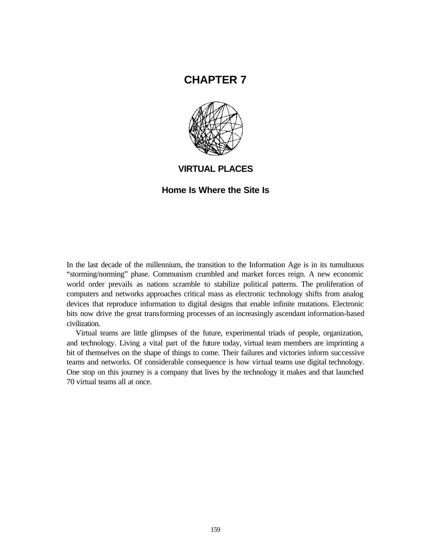# **CHAPTER 7**



## **VIRTUAL PLACES**

## **Home Is Where the Site Is**

In the last decade of the millennium, the transition to the Information Age is in its tumultuous "storming/norming" phase. Communism crumbled and market forces reign. A new economic world order prevails as nations scramble to stabilize political patterns. The proliferation of computers and networks approaches critical mass as electronic technology shifts from analog devices that reproduce information to digital designs that enable infinite mutations. Electronic bits now drive the great transforming processes of an increasingly ascendant information-based civilization.

Virtual teams are little glimpses of the future, experimental triads of people, organization, and technology. Living a vital part of the future today, virtual team members are imprinting a bit of themselves on the shape of things to come. Their failures and victories inform successive teams and networks. Of considerable consequence is how virtual teams use digital technology. One stop on this journey is a company that lives by the technology it makes and that launched 70 virtual teams all at once.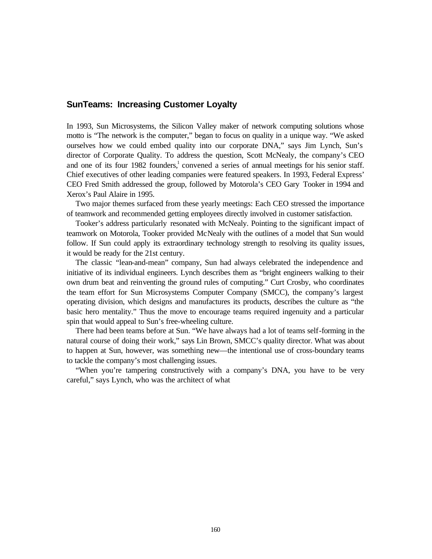## **SunTeams: Increasing Customer Loyalty**

In 1993, Sun Microsystems, the Silicon Valley maker of network computing solutions whose motto is "The network is the computer," began to focus on quality in a unique way. "We asked ourselves how we could embed quality into our corporate DNA," says Jim Lynch, Sun's director of Corporate Quality. To address the question, Scott McNealy, the company's CEO and one of its four 1982 founders, $\frac{1}{2}$  convened a series of annual meetings for his senior staff. Chief executives of other leading companies were featured speakers. In 1993, Federal Express' CEO Fred Smith addressed the group, followed by Motorola's CEO Gary Tooker in 1994 and Xerox's Paul Alaire in 1995.

Two major themes surfaced from these yearly meetings: Each CEO stressed the importance of teamwork and recommended getting employees directly involved in customer satisfaction.

Tooker's address particularly resonated with McNealy. Pointing to the significant impact of teamwork on Motorola, Tooker provided McNealy with the outlines of a model that Sun would follow. If Sun could apply its extraordinary technology strength to resolving its quality issues, it would be ready for the 21st century.

The classic "lean-and-mean" company, Sun had always celebrated the independence and initiative of its individual engineers. Lynch describes them as "bright engineers walking to their own drum beat and reinventing the ground rules of computing." Curt Crosby, who coordinates the team effort for Sun Microsystems Computer Company (SMCC), the company's largest operating division, which designs and manufactures its products, describes the culture as "the basic hero mentality." Thus the move to encourage teams required ingenuity and a particular spin that would appeal to Sun's free-wheeling culture.

There had been teams before at Sun. "We have always had a lot of teams self-forming in the natural course of doing their work," says Lin Brown, SMCC's quality director. What was about to happen at Sun, however, was something new—the intentional use of cross-boundary teams to tackle the company's most challenging issues.

"When you're tampering constructively with a company's DNA, you have to be very careful," says Lynch, who was the architect of what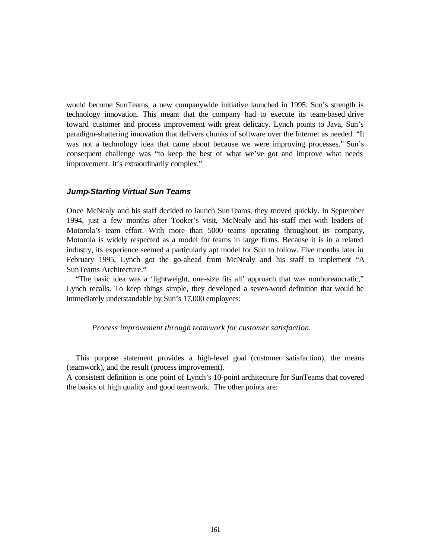would become SunTeams, a new companywide initiative launched in 1995. Sun's strength is technology innovation. This meant that the company had to execute its team-based drive toward customer and process improvement with great delicacy. Lynch points to Java, Sun's paradigm-shattering innovation that delivers chunks of software over the Internet as needed. "It was not a technology idea that came about because we were improving processes." Sun's consequent challenge was "to keep the best of what we've got and improve what needs improvement. It's extraordinarily complex."

#### *Jump-Starting Virtual Sun Teams*

Once McNealy and his staff decided to launch SunTeams, they moved quickly. In September 1994, just a few months after Tooker's visit, McNealy and his staff met with leaders of Motorola's team effort. With more than 5000 teams operating throughout its company, Motorola is widely respected as a model for teams in large firms. Because it is in a related industry, its experience seemed a particularly apt model for Sun to follow. Five months later in February 1995, Lynch got the go-ahead from McNealy and his staff to implement "A SunTeams Architecture."

"The basic idea was a 'lightweight, one-size fits all' approach that was nonbureaucratic," Lynch recalls. To keep things simple, they developed a seven-word definition that would be immediately understandable by Sun's 17,000 employees:

*Process improvement through teamwork for customer satisfaction.*

This purpose statement provides a high-level goal (customer satisfaction), the means (teamwork), and the result (process improvement).

A consistent definition is one point of Lynch's 10-point architecture for SunTeams that covered the basics of high quality and good teamwork. The other points are: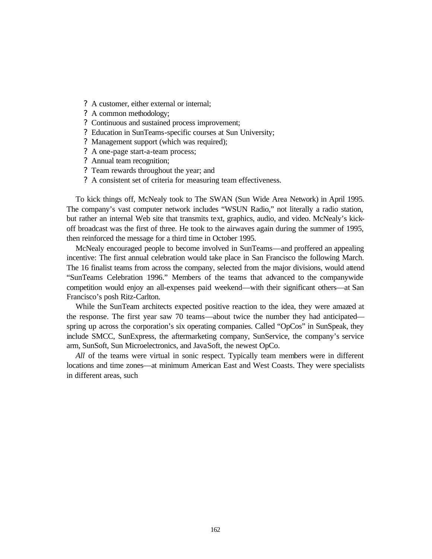- ? A customer, either external or internal;
- ? A common methodology;
- ? Continuous and sustained process improvement;
- ? Education in SunTeams-specific courses at Sun University;
- ? Management support (which was required);
- ? A one-page start-a-team process;
- ? Annual team recognition;
- ? Team rewards throughout the year; and
- ? A consistent set of criteria for measuring team effectiveness.

To kick things off, McNealy took to The SWAN (Sun Wide Area Network) in April 1995. The company's vast computer network includes "WSUN Radio," not literally a radio station, but rather an internal Web site that transmits text, graphics, audio, and video. McNealy's kickoff broadcast was the first of three. He took to the airwaves again during the summer of 1995, then reinforced the message for a third time in October 1995.

McNealy encouraged people to become involved in SunTeams—and proffered an appealing incentive: The first annual celebration would take place in San Francisco the following March. The 16 finalist teams from across the company, selected from the major divisions, would attend "SunTeams Celebration 1996." Members of the teams that advanced to the companywide competition would enjoy an all-expenses paid weekend—with their significant others—at San Francisco's posh Ritz-Carlton.

While the SunTeam architects expected positive reaction to the idea, they were amazed at the response. The first year saw 70 teams—about twice the number they had anticipated spring up across the corporation's six operating companies. Called "OpCos" in SunSpeak, they include SMCC, SunExpress, the aftermarketing company, SunService, the company's service arm, SunSoft, Sun Microelectronics, and JavaSoft, the newest OpCo.

*All* of the teams were virtual in sonic respect. Typically team members were in different locations and time zones—at minimum American East and West Coasts. They were specialists in different areas, such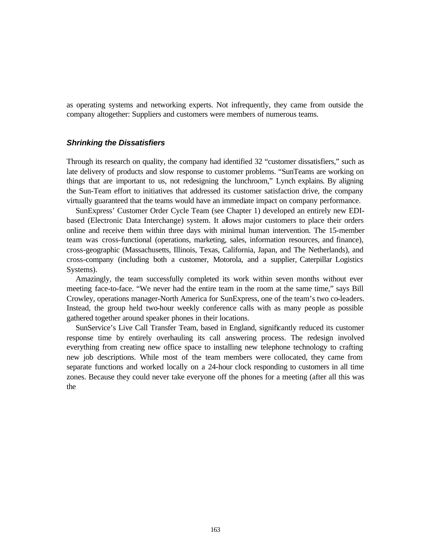as operating systems and networking experts. Not infrequently, they came from outside the company altogether: Suppliers and customers were members of numerous teams.

### *Shrinking the Dissatisfiers*

Through its research on quality, the company had identified 32 "customer dissatisfiers," such as late delivery of products and slow response to customer problems. "SunTeams are working on things that are important to us, not redesigning the lunchroom," Lynch explains. By aligning the Sun-Team effort to initiatives that addressed its customer satisfaction drive, the company virtually guaranteed that the teams would have an immediate impact on company performance.

SunExpress' Customer Order Cycle Team (see Chapter 1) developed an entirely new EDIbased (Electronic Data Interchange) system. It allows major customers to place their orders online and receive them within three days with minimal human intervention. The 15-member team was cross-functional (operations, marketing, sales, information resources, and finance), cross-geographic (Massachusetts, Illinois, Texas, California, Japan, and The Netherlands), and cross-company (including both a customer, Motorola, and a supplier, Caterpillar Logistics Systems).

Amazingly, the team successfully completed its work within seven months without ever meeting face-to-face. "We never had the entire team in the room at the same time," says Bill Crowley, operations manager-North America for SunExpress, one of the team's two co-leaders. Instead, the group held two-hour weekly conference calls with as many people as possible gathered together around speaker phones in their locations.

SunService's Live Call Transfer Team, based in England, significantly reduced its customer response time by entirely overhauling its call answering process. The redesign involved everything from creating new office space to installing new telephone technology to crafting new job descriptions. While most of the team members were collocated, they came from separate functions and worked locally on a 24-hour clock responding to customers in all time zones. Because they could never take everyone off the phones for a meeting (after all this was the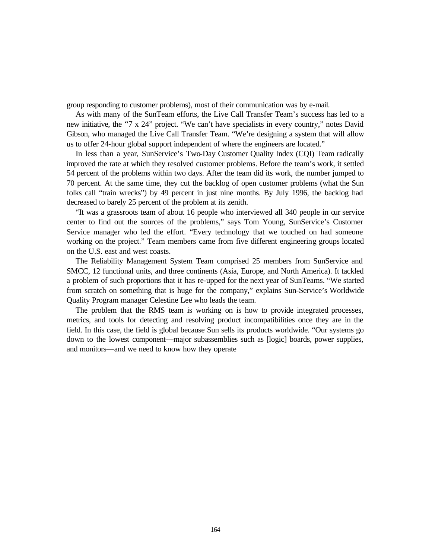group responding to customer problems), most of their communication was by e-mail.

As with many of the SunTeam efforts, the Live Call Transfer Team's success has led to a new initiative, the "7 x 24" project. "We can't have specialists in every country," notes David Gibson, who managed the Live Call Transfer Team. "We're designing a system that will allow us to offer 24-hour global support independent of where the engineers are located."

In less than a year, SunService's Two-Day Customer Quality Index (CQI) Team radically improved the rate at which they resolved customer problems. Before the team's work, it settled 54 percent of the problems within two days. After the team did its work, the number jumped to 70 percent. At the same time, they cut the backlog of open customer problems (what the Sun folks call "train wrecks") by 49 percent in just nine months. By July 1996, the backlog had decreased to barely 25 percent of the problem at its zenith.

"It was a grassroots team of about 16 people who interviewed all 340 people in our service center to find out the sources of the problems," says Tom Young, SunService's Customer Service manager who led the effort. "Every technology that we touched on had someone working on the project." Team members came from five different engineering groups located on the U.S. east and west coasts.

The Reliability Management System Team comprised 25 members from SunService and SMCC, 12 functional units, and three continents (Asia, Europe, and North America). It tackled a problem of such proportions that it has re-upped for the next year of SunTeams. "We started from scratch on something that is huge for the company," explains Sun-Service's Worldwide Quality Program manager Celestine Lee who leads the team.

The problem that the RMS team is working on is how to provide integrated processes, metrics, and tools for detecting and resolving product incompatibilities once they are in the field. In this case, the field is global because Sun sells its products worldwide. "Our systems go down to the lowest component—major subassemblies such as [logic] boards, power supplies, and monitors—and we need to know how they operate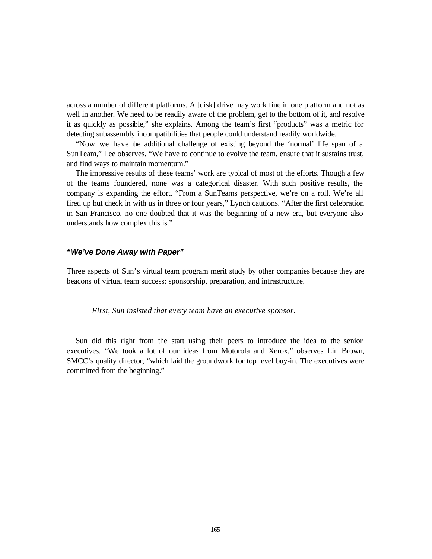across a number of different platforms. A [disk] drive may work fine in one platform and not as well in another. We need to be readily aware of the problem, get to the bottom of it, and resolve it as quickly as possible," she explains. Among the team's first "products" was a metric for detecting subassembly incompatibilities that people could understand readily worldwide.

"Now we have the additional challenge of existing beyond the 'normal' life span of a SunTeam," Lee observes. "We have to continue to evolve the team, ensure that it sustains trust, and find ways to maintain momentum."

The impressive results of these teams' work are typical of most of the efforts. Though a few of the teams foundered, none was a categorical disaster. With such positive results, the company is expanding the effort. "From a SunTeams perspective, we're on a roll. We're all fired up hut check in with us in three or four years," Lynch cautions. "After the first celebration in San Francisco, no one doubted that it was the beginning of a new era, but everyone also understands how complex this is."

### *"We've Done Away with Paper"*

Three aspects of Sun's virtual team program merit study by other companies because they are beacons of virtual team success: sponsorship, preparation, and infrastructure.

*First, Sun insisted that every team have an executive sponsor.*

Sun did this right from the start using their peers to introduce the idea to the senior executives. "We took a lot of our ideas from Motorola and Xerox," observes Lin Brown, SMCC's quality director, "which laid the groundwork for top level buy-in. The executives were committed from the beginning."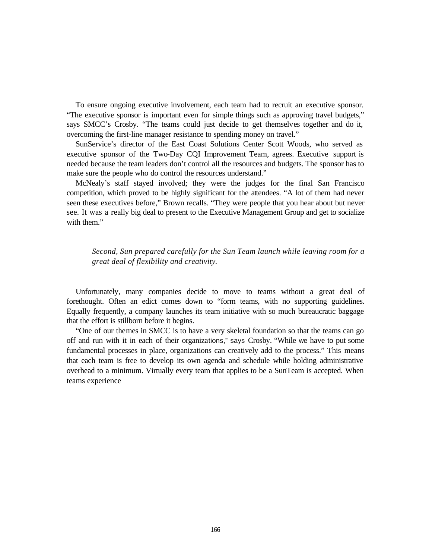To ensure ongoing executive involvement, each team had to recruit an executive sponsor. "The executive sponsor is important even for simple things such as approving travel budgets," says SMCC's Crosby. "The teams could just decide to get themselves together and do it, overcoming the first-line manager resistance to spending money on travel."

SunService's director of the East Coast Solutions Center Scott Woods, who served as executive sponsor of the Two-Day CQI Improvement Team, agrees. Executive support is needed because the team leaders don't control all the resources and budgets. The sponsor has to make sure the people who do control the resources understand."

McNealy's staff stayed involved; they were the judges for the final San Francisco competition, which proved to be highly significant for the attendees. "A lot of them had never seen these executives before," Brown recalls. "They were people that you hear about but never see. It was a really big deal to present to the Executive Management Group and get to socialize with them."

*Second, Sun prepared carefully for the Sun Team launch while leaving room for a great deal of flexibility and creativity.*

Unfortunately, many companies decide to move to teams without a great deal of forethought. Often an edict comes down to "form teams, with no supporting guidelines. Equally frequently, a company launches its team initiative with so much bureaucratic baggage that the effort is stillborn before it begins.

"One of our themes in SMCC is to have a very skeletal foundation so that the teams can go off and run with it in each of their organizations," says Crosby. "While we have to put some fundamental processes in place, organizations can creatively add to the process." This means that each team is free to develop its own agenda and schedule while holding administrative overhead to a minimum. Virtually every team that applies to be a SunTeam is accepted. When teams experience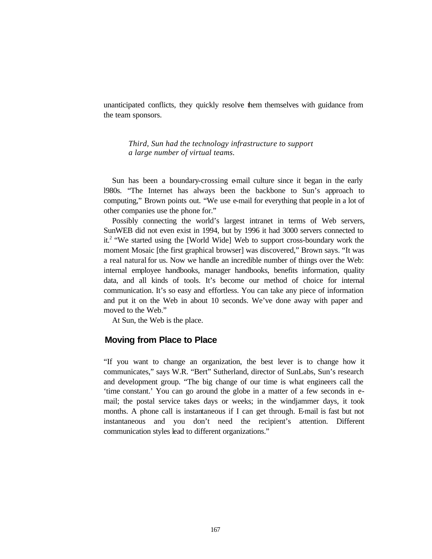unanticipated conflicts, they quickly resolve them themselves with guidance from the team sponsors.

*Third, Sun had the technology infrastructure to support a large number of virtual teams.*

Sun has been a boundary-crossing e-mail culture since it began in the early l980s. "The Internet has always been the backbone to Sun's approach to computing," Brown points out. "We use e-mail for everything that people in a lot of other companies use the phone for."

Possibly connecting the world's largest intranet in terms of Web servers, SunWEB did not even exist in 1994, but by 1996 it had 3000 servers connected to it.<sup>2</sup> "We started using the [World Wide] Web to support cross-boundary work the moment Mosaic [the first graphical browser] was discovered," Brown says. "It was a real natural for us. Now we handle an incredible number of things over the Web: internal employee handbooks, manager handbooks, benefits information, quality data, and all kinds of tools. It's become our method of choice for internal communication. It's so easy and effortless. You can take any piece of information and put it on the Web in about 10 seconds. We've done away with paper and moved to the Web."

At Sun, the Web is the place.

## **Moving from Place to Place**

"If you want to change an organization, the best lever is to change how it communicates," says W.R. "Bert" Sutherland, director of SunLabs, Sun's research and development group. "The big change of our time is what engineers call the 'time constant.' You can go around the globe in a matter of a few seconds in email; the postal service takes days or weeks; in the windjammer days, it took months. A phone call is instantaneous if I can get through. E-mail is fast but not instantaneous and you don't need the recipient's attention. Different communication styles lead to different organizations."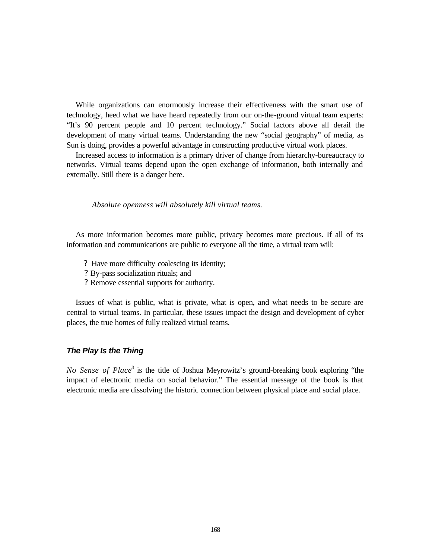While organizations can enormously increase their effectiveness with the smart use of technology, heed what we have heard repeatedly from our on-the-ground virtual team experts: "It's 90 percent people and 10 percent technology." Social factors above all derail the development of many virtual teams. Understanding the new "social geography" of media, as Sun is doing, provides a powerful advantage in constructing productive virtual work places.

Increased access to information is a primary driver of change from hierarchy-bureaucracy to networks. Virtual teams depend upon the open exchange of information, both internally and externally. Still there is a danger here.

#### *Absolute openness will absolutely kill virtual teams.*

As more information becomes more public, privacy becomes more precious. If all of its information and communications are public to everyone all the time, a virtual team will:

- ? Have more difficulty coalescing its identity;
- ? By-pass socialization rituals; and
- ? Remove essential supports for authority.

Issues of what is public, what is private, what is open, and what needs to be secure are central to virtual teams. In particular, these issues impact the design and development of cyber places, the true homes of fully realized virtual teams.

## *The Play Is the Thing*

*No Sense of Place<sup>3</sup>*is the title of Joshua Meyrowitz's ground-breaking book exploring "the impact of electronic media on social behavior." The essential message of the book is that electronic media are dissolving the historic connection between physical place and social place.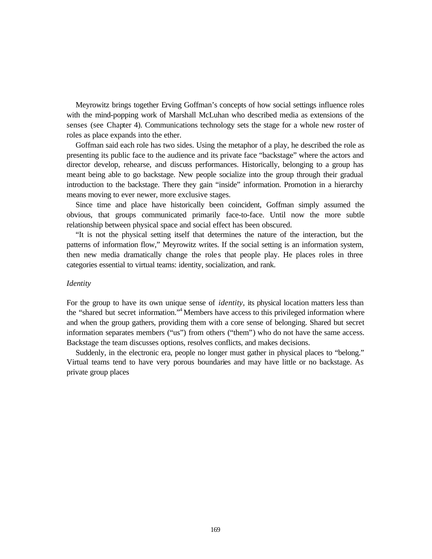Meyrowitz brings together Erving Goffman's concepts of how social settings influence roles with the mind-popping work of Marshall McLuhan who described media as extensions of the senses (see Chapter 4). Communications technology sets the stage for a whole new roster of roles as place expands into the ether.

Goffman said each role has two sides. Using the metaphor of a play, he described the role as presenting its public face to the audience and its private face "backstage" where the actors and director develop, rehearse, and discuss performances. Historically, belonging to a group has meant being able to go backstage. New people socialize into the group through their gradual introduction to the backstage. There they gain "inside" information. Promotion in a hierarchy means moving to ever newer, more exclusive stages.

Since time and place have historically been coincident, Goffman simply assumed the obvious, that groups communicated primarily face-to-face. Until now the more subtle relationship between physical space and social effect has been obscured.

"It is not the physical setting itself that determines the nature of the interaction, but the patterns of information flow," Meyrowitz writes. If the social setting is an information system, then new media dramatically change the role s that people play. He places roles in three categories essential to virtual teams: identity, socialization, and rank.

### *Identity*

For the group to have its own unique sense of *identity,* its physical location matters less than the "shared but secret information."<sup>4</sup>Members have access to this privileged information where and when the group gathers, providing them with a core sense of belonging. Shared but secret information separates members ("us") from others ("them") who do not have the same access. Backstage the team discusses options, resolves conflicts, and makes decisions.

Suddenly, in the electronic era, people no longer must gather in physical places to "belong." Virtual teams tend to have very porous boundaries and may have little or no backstage. As private group places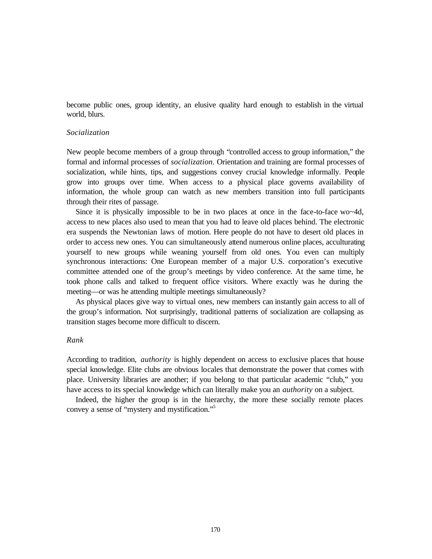become public ones, group identity, an elusive quality hard enough to establish in the virtual world, blurs.

#### *Socialization*

New people become members of a group through "controlled access to group information," the formal and informal processes of *socialization.* Orientation and training are formal processes of socialization, while hints, tips, and suggestions convey crucial knowledge informally. People grow into groups over time. When access to a physical place governs availability of information, the whole group can watch as new members transition into full participants through their rites of passage.

Since it is physically impossible to be in two places at once in the face-to-face wo~4d, access to new places also used to mean that you had to leave old places behind. The electronic era suspends the Newtonian laws of motion. Here people do not have to desert old places in order to access new ones. You can simultaneously attend numerous online places, acculturating yourself to new groups while weaning yourself from old ones. You even can multiply synchronous interactions: One European member of a major U.S. corporation's executive committee attended one of the group's meetings by video conference. At the same time, he took phone calls and talked to frequent office visitors. Where exactly was he during the meeting—or was he attending multiple meetings simultaneously?

As physical places give way to virtual ones, new members can instantly gain access to all of the group's information. Not surprisingly, traditional patterns of socialization are collapsing as transition stages become more difficult to discern.

#### *Rank*

According to tradition, *authority* is highly dependent on access to exclusive places that house special knowledge. Elite clubs are obvious locales that demonstrate the power that comes with place. University libraries are another; if you belong to that particular academic "club," you have access to its special knowledge which can literally make you an *authority* on a subject.

Indeed, the higher the group is in the hierarchy, the more these socially remote places convey a sense of "mystery and mystification."<sup>5</sup>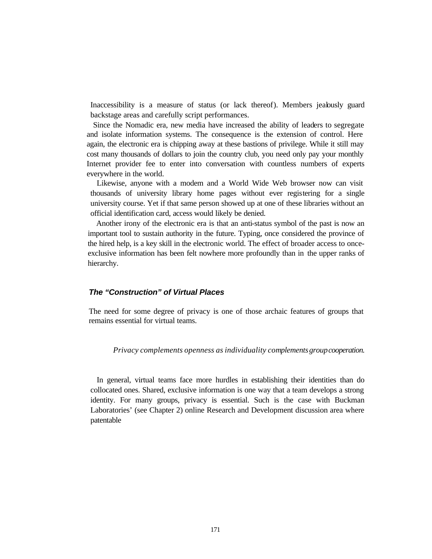Inaccessibility is a measure of status (or lack thereof). Members jealously guard backstage areas and carefully script performances.

Since the Nomadic era, new media have increased the ability of leaders to segregate and isolate information systems. The consequence is the extension of control. Here again, the electronic era is chipping away at these bastions of privilege. While it still may cost many thousands of dollars to join the country club, you need only pay your monthly Internet provider fee to enter into conversation with countless numbers of experts everywhere in the world.

Likewise, anyone with a modem and a World Wide Web browser now can visit thousands of university library home pages without ever registering for a single university course. Yet if that same person showed up at one of these libraries without an official identification card, access would likely be denied.

Another irony of the electronic era is that an anti-status symbol of the past is now an important tool to sustain authority in the future. Typing, once considered the province of the hired help, is a key skill in the electronic world. The effect of broader access to onceexclusive information has been felt nowhere more profoundly than in the upper ranks of hierarchy.

## *The "Construction" of Virtual Places*

The need for some degree of privacy is one of those archaic features of groups that remains essential for virtual teams.

*Privacy complements openness as individuality complements group cooperation.*

In general, virtual teams face more hurdles in establishing their identities than do collocated ones. Shared, exclusive information is one way that a team develops a strong identity. For many groups, privacy is essential. Such is the case with Buckman Laboratories' (see Chapter 2) online Research and Development discussion area where patentable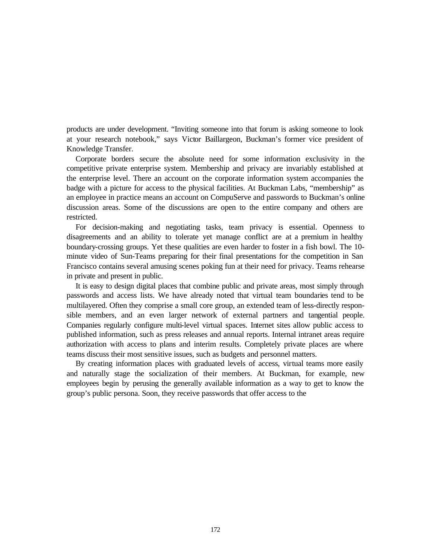products are under development. "Inviting someone into that forum is asking someone to look at your research notebook," says Victor Baillargeon, Buckman's former vice president of Knowledge Transfer.

Corporate borders secure the absolute need for some information exclusivity in the competitive private enterprise system. Membership and privacy are invariably established at the enterprise level. There an account on the corporate information system accompanies the badge with a picture for access to the physical facilities. At Buckman Labs, "membership" as an employee in practice means an account on CompuServe and passwords to Buckman's online discussion areas. Some of the discussions are open to the entire company and others are restricted.

For decision-making and negotiating tasks, team privacy is essential. Openness to disagreements and an ability to tolerate yet manage conflict are at a premium in healthy boundary-crossing groups. Yet these qualities are even harder to foster in a fish bowl. The 10 minute video of Sun-Teams preparing for their final presentations for the competition in San Francisco contains several amusing scenes poking fun at their need for privacy. Teams rehearse in private and present in public.

It is easy to design digital places that combine public and private areas, most simply through passwords and access lists. We have already noted that virtual team boundaries tend to be multilayered. Often they comprise a small core group, an extended team of less-directly responsible members, and an even larger network of external partners and tangential people. Companies regularly configure multi-level virtual spaces. Internet sites allow public access to published information, such as press releases and annual reports. Internal intranet areas require authorization with access to plans and interim results. Completely private places are where teams discuss their most sensitive issues, such as budgets and personnel matters.

By creating information places with graduated levels of access, virtual teams more easily and naturally stage the socialization of their members. At Buckman, for example, new employees begin by perusing the generally available information as a way to get to know the group's public persona. Soon, they receive passwords that offer access to the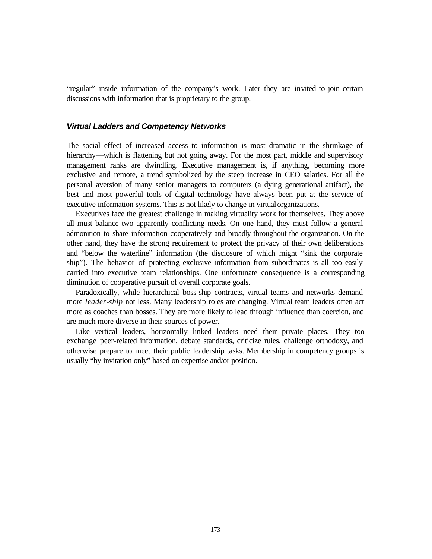"regular" inside information of the company's work. Later they are invited to join certain discussions with information that is proprietary to the group.

#### *Virtual Ladders and Competency Networks*

The social effect of increased access to information is most dramatic in the shrinkage of hierarchy—which is flattening but not going away. For the most part, middle and supervisory management ranks are dwindling. Executive management is, if anything, becoming more exclusive and remote, a trend symbolized by the steep increase in CEO salaries. For all the personal aversion of many senior managers to computers (a dying generational artifact), the best and most powerful tools of digital technology have always been put at the service of executive information systems. This is not likely to change in virtual organizations.

Executives face the greatest challenge in making virtuality work for themselves. They above all must balance two apparently conflicting needs. On one hand, they must follow a general admonition to share information cooperatively and broadly throughout the organization. On the other hand, they have the strong requirement to protect the privacy of their own deliberations and "below the waterline" information (the disclosure of which might "sink the corporate ship"). The behavior of protecting exclusive information from subordinates is all too easily carried into executive team relationships. One unfortunate consequence is a corresponding diminution of cooperative pursuit of overall corporate goals.

Paradoxically, while hierarchical boss-ship contracts, virtual teams and networks demand more *leader-ship* not less. Many leadership roles are changing. Virtual team leaders often act more as coaches than bosses. They are more likely to lead through influence than coercion, and are much more diverse in their sources of power.

Like vertical leaders, horizontally linked leaders need their private places. They too exchange peer-related information, debate standards, criticize rules, challenge orthodoxy, and otherwise prepare to meet their public leadership tasks. Membership in competency groups is usually "by invitation only" based on expertise and/or position.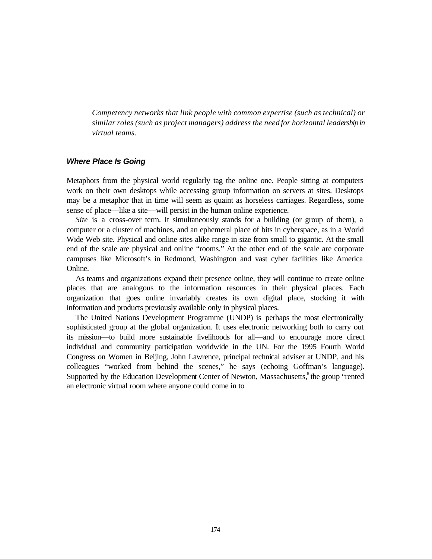*Competency networks that link people with common expertise (such as technical) or similar roles (such as project managers) address the need for horizontal leadership in virtual teams.*

### *Where Place Is Going*

Metaphors from the physical world regularly tag the online one. People sitting at computers work on their own desktops while accessing group information on servers at sites. Desktops may be a metaphor that in time will seem as quaint as horseless carriages. Regardless, some sense of place—like a site—will persist in the human online experience.

*Site* is a cross-over term. It simultaneously stands for a building (or group of them), a computer or a cluster of machines, and an ephemeral place of bits in cyberspace, as in a World Wide Web site. Physical and online sites alike range in size from small to gigantic. At the small end of the scale are physical and online "rooms." At the other end of the scale are corporate campuses like Microsoft's in Redmond, Washington and vast cyber facilities like America Online.

As teams and organizations expand their presence online, they will continue to create online places that are analogous to the information resources in their physical places. Each organization that goes online invariably creates its own digital place, stocking it with information and products previously available only in physical places.

The United Nations Development Programme (UNDP) is perhaps the most electronically sophisticated group at the global organization. It uses electronic networking both to carry out its mission—to build more sustainable livelihoods for all—and to encourage more direct individual and community participation worldwide in the UN. For the 1995 Fourth World Congress on Women in Beijing, John Lawrence, principal technical adviser at UNDP, and his colleagues "worked from behind the scenes," he says (echoing Goffman's language). Supported by the Education Development Center of Newton, Massachusetts, $6$ <sup>6</sup> the group "rented" an electronic virtual room where anyone could come in to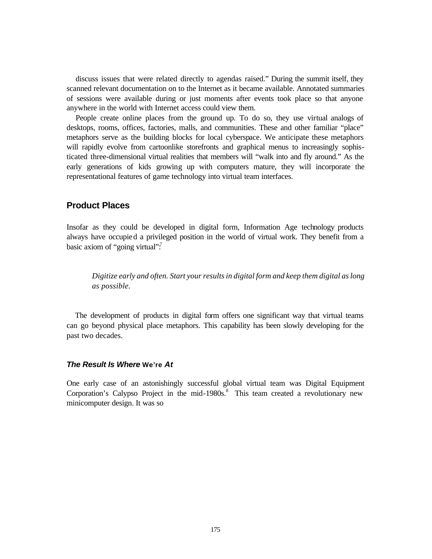discuss issues that were related directly to agendas raised." During the summit itself, they scanned relevant documentation on to the Internet as it became available. Annotated summaries of sessions were available during or just moments after events took place so that anyone anywhere in the world with Internet access could view them.

People create online places from the ground up. To do so, they use virtual analogs of desktops, rooms, offices, factories, malls, and communities. These and other familiar "place" metaphors serve as the building blocks for local cyberspace. We anticipate these metaphors will rapidly evolve from cartoonlike storefronts and graphical menus to increasingly sophisticated three-dimensional virtual realities that members will "walk into and fly around." As the early generations of kids growing up with computers mature, they will incorporate the representational features of game technology into virtual team interfaces.

## **Product Places**

Insofar as they could be developed in digital form, Information Age technology products always have occupied a privileged position in the world of virtual work. They benefit from a basic axiom of "going virtual"?

*Digitize early and often. Start your results in digital form and keep them digital as long as possible.*

The development of products in digital form offers one significant way that virtual teams can go beyond physical place metaphors. This capability has been slowly developing for the past two decades.

### *The Result Is Where* **We're** *At*

One early case of an astonishingly successful global virtual team was Digital Equipment Corporation's Calypso Project in the mid-1980s. $8$  This team created a revolutionary new minicomputer design. It was so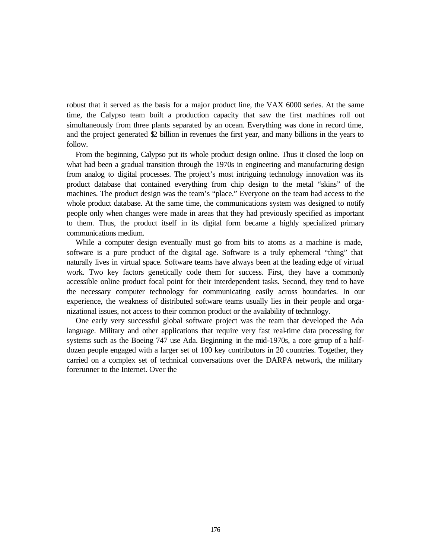robust that it served as the basis for a major product line, the VAX 6000 series. At the same time, the Calypso team built a production capacity that saw the first machines roll out simultaneously from three plants separated by an ocean. Everything was done in record time, and the project generated  $\mathcal D$  billion in revenues the first year, and many billions in the years to follow.

From the beginning, Calypso put its whole product design online. Thus it closed the loop on what had been a gradual transition through the 1970s in engineering and manufacturing design from analog to digital processes. The project's most intriguing technology innovation was its product database that contained everything from chip design to the metal "skins" of the machines. The product design was the team's "place." Everyone on the team had access to the whole product database. At the same time, the communications system was designed to notify people only when changes were made in areas that they had previously specified as important to them. Thus, the product itself in its digital form became a highly specialized primary communications medium.

While a computer design eventually must go from bits to atoms as a machine is made, software is a pure product of the digital age. Software is a truly ephemeral "thing" that naturally lives in virtual space. Software teams have always been at the leading edge of virtual work. Two key factors genetically code them for success. First, they have a commonly accessible online product focal point for their interdependent tasks. Second, they tend to have the necessary computer technology for communicating easily across boundaries. In our experience, the weakness of distributed software teams usually lies in their people and organizational issues, not access to their common product or the availability of technology.

One early very successful global software project was the team that developed the Ada language. Military and other applications that require very fast real-time data processing for systems such as the Boeing 747 use Ada. Beginning in the mid-1970s, a core group of a halfdozen people engaged with a larger set of 100 key contributors in 20 countries. Together, they carried on a complex set of technical conversations over the DARPA network, the military forerunner to the Internet. Over the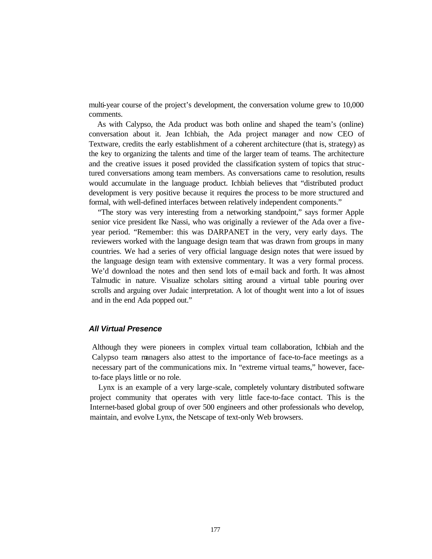multi-year course of the project's development, the conversation volume grew to 10,000 comments.

As with Calypso, the Ada product was both online and shaped the team's (online) conversation about it. Jean Ichbiah, the Ada project manager and now CEO of Textware, credits the early establishment of a coherent architecture (that is, strategy) as the key to organizing the talents and time of the larger team of teams. The architecture and the creative issues it posed provided the classification system of topics that structured conversations among team members. As conversations came to resolution, results would accumulate in the language product. Ichbiah believes that "distributed product development is very positive because it requires the process to be more structured and formal, with well-defined interfaces between relatively independent components."

"The story was very interesting from a networking standpoint," says former Apple senior vice president Ike Nassi, who was originally a reviewer of the Ada over a fiveyear period. "Remember: this was DARPANET in the very, very early days. The reviewers worked with the language design team that was drawn from groups in many countries. We had a series of very official language design notes that were issued by the language design team with extensive commentary. It was a very formal process. We'd download the notes and then send lots of e-mail back and forth. It was almost Talmudic in nature. Visualize scholars sitting around a virtual table pouring over scrolls and arguing over Judaic interpretation. A lot of thought went into a lot of issues and in the end Ada popped out."

### *All Virtual Presence*

Although they were pioneers in complex virtual team collaboration, Ichbiah and the Calypso team managers also attest to the importance of face-to-face meetings as a necessary part of the communications mix. In "extreme virtual teams," however, faceto-face plays little or no role.

Lynx is an example of a very large-scale, completely voluntary distributed software project community that operates with very little face-to-face contact. This is the Internet-based global group of over 500 engineers and other professionals who develop, maintain, and evolve Lynx, the Netscape of text-only Web browsers.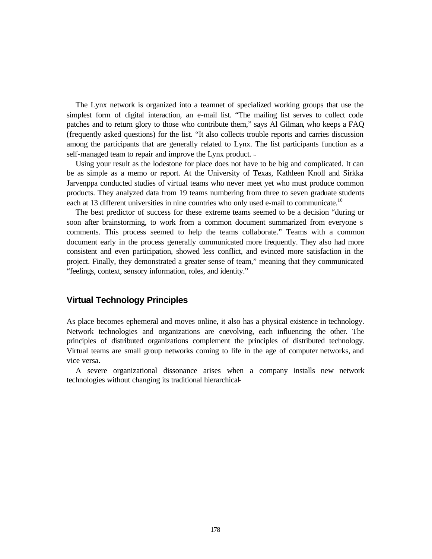The Lynx network is organized into a teamnet of specialized working groups that use the simplest form of digital interaction, an e-mail list. "The mailing list serves to collect code patches and to return glory to those who contribute them," says Al Gilman, who keeps a FAQ (frequently asked questions) for the list. "It also collects trouble reports and carries discussion among the participants that are generally related to Lynx. The list participants function as a self-managed team to repair and improve the Lynx product.

Using your result as the lodestone for place does not have to be big and complicated. It can be as simple as a memo or report. At the University of Texas, Kathleen Knoll and Sirkka Jarvenppa conducted studies of virtual teams who never meet yet who must produce common products. They analyzed data from 19 teams numbering from three to seven graduate students each at 13 different universities in nine countries who only used e-mail to communicate.<sup>10</sup>

The best predictor of success for these extreme teams seemed to be a decision "during or soon after brainstorming, to work from a common document summarized from everyone s comments. This process seemed to help the teams collaborate." Teams with a common document early in the process generally communicated more frequently. They also had more consistent and even participation, showed less conflict, and evinced more satisfaction in the project. Finally, they demonstrated a greater sense of team," meaning that they communicated "feelings, context, sensory information, roles, and identity."

## **Virtual Technology Principles**

As place becomes ephemeral and moves online, it also has a physical existence in technology. Network technologies and organizations are coevolving, each influencing the other. The principles of distributed organizations complement the principles of distributed technology. Virtual teams are small group networks coming to life in the age of computer networks, and vice versa.

A severe organizational dissonance arises when a company installs new network technologies without changing its traditional hierarchical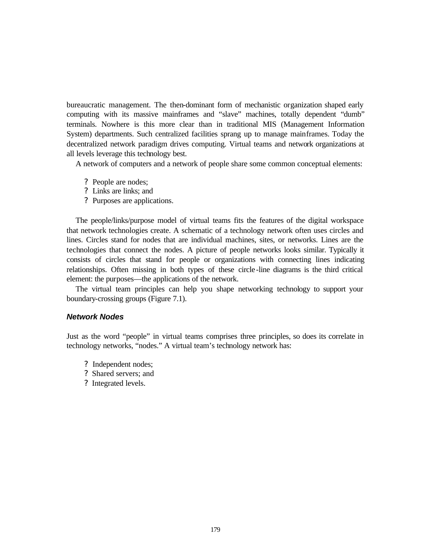bureaucratic management. The then-dominant form of mechanistic organization shaped early computing with its massive mainframes and "slave" machines, totally dependent "dumb" terminals. Nowhere is this more clear than in traditional MIS (Management Information System) departments. Such centralized facilities sprang up to manage mainframes. Today the decentralized network paradigm drives computing. Virtual teams and network organizations at all levels leverage this technology best.

A network of computers and a network of people share some common conceptual elements:

- ? People are nodes;
- ? Links are links; and
- ? Purposes are applications.

The people/links/purpose model of virtual teams fits the features of the digital workspace that network technologies create. A schematic of a technology network often uses circles and lines. Circles stand for nodes that are individual machines, sites, or networks. Lines are the technologies that connect the nodes. A picture of people networks looks similar. Typically it consists of circles that stand for people or organizations with connecting lines indicating relationships. Often missing in both types of these circle -line diagrams is the third critical element: the purposes—the applications of the network.

The virtual team principles can help you shape networking technology to support your boundary-crossing groups (Figure 7.1).

#### *Network Nodes*

Just as the word "people" in virtual teams comprises three principles, so does its correlate in technology networks, "nodes." A virtual team's technology network has:

- ? Independent nodes;
- ? Shared servers; and
- ? Integrated levels.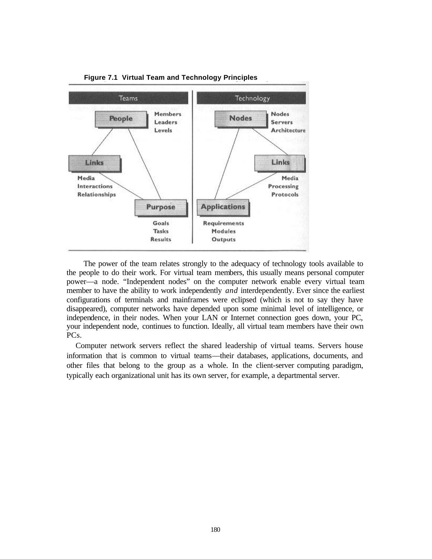

**Figure 7.1 Virtual Team and Technology Principles**

The power of the team relates strongly to the adequacy of technology tools available to the people to do their work. For virtual team members, this usually means personal computer power—a node. "Independent nodes" on the computer network enable every virtual team member to have the ability to work independently *and* interdependently. Ever since the earliest configurations of terminals and mainframes were eclipsed (which is not to say they have disappeared), computer networks have depended upon some minimal level of intelligence, or independence, in their nodes. When your LAN or Internet connection goes down, your PC, your independent node, continues to function. Ideally, all virtual team members have their own PCs.

Computer network servers reflect the shared leadership of virtual teams. Servers house information that is common to virtual teams—their databases, applications, documents, and other files that belong to the group as a whole. In the client-server computing paradigm, typically each organizational unit has its own server, for example, a departmental server.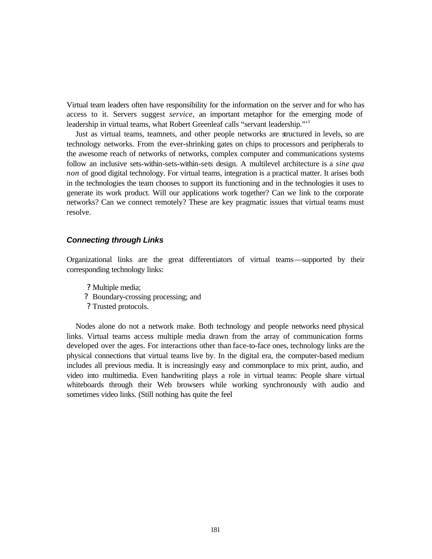Virtual team leaders often have responsibility for the information on the server and for who has access to it. Servers suggest *service,* an important metaphor for the emerging mode of leadership in virtual teams, what Robert Greenleaf calls "servant leadership."<sup>1</sup>

Just as virtual teams, teamnets, and other people networks are structured in levels, so are technology networks. From the ever-shrinking gates on chips to processors and peripherals to the awesome reach of networks of networks, complex computer and communications systems follow an inclusive sets-within-sets-within-sets design. A multilevel architecture is a *sine qua non* of good digital technology. For virtual teams, integration is a practical matter. It arises both in the technologies the team chooses to support its functioning and in the technologies it uses to generate its work product. Will our applications work together? Can we link to the corporate networks? Can we connect remotely? These are key pragmatic issues that virtual teams must resolve.

## *Connecting through Links*

Organizational links are the great differentiators of virtual teams—supported by their corresponding technology links:

- ? Multiple media;
- ? Boundary-crossing processing; and
- ? Trusted protocols.

Nodes alone do not a network make. Both technology and people networks need physical links. Virtual teams access multiple media drawn from the array of communication forms developed over the ages. For interactions other than face-to-face ones, technology links are the physical connections that virtual teams live by. In the digital era, the computer-based medium includes all previous media. It is increasingly easy and commonplace to mix print, audio, and video into multimedia. Even handwriting plays a role in virtual teams: People share virtual whiteboards through their Web browsers while working synchronously with audio and sometimes video links. (Still nothing has quite the feel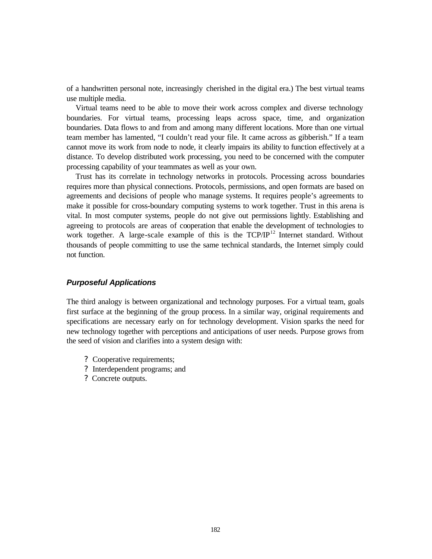of a handwritten personal note, increasingly cherished in the digital era.) The best virtual teams use multiple media.

Virtual teams need to be able to move their work across complex and diverse technology boundaries. For virtual teams, processing leaps across space, time, and organization boundaries. Data flows to and from and among many different locations. More than one virtual team member has lamented, "I couldn't read your file. It came across as gibberish." If a team cannot move its work from node to node, it clearly impairs its ability to function effectively at a distance. To develop distributed work processing, you need to be concerned with the computer processing capability of your teammates as well as your own.

Trust has its correlate in technology networks in protocols. Processing across boundaries requires more than physical connections. Protocols, permissions, and open formats are based on agreements and decisions of people who manage systems. It requires people's agreements to make it possible for cross-boundary computing systems to work together. Trust in this arena is vital. In most computer systems, people do not give out permissions lightly. Establishing and agreeing to protocols are areas of cooperation that enable the development of technologies to work together. A large-scale example of this is the  $TCP/IP<sup>12</sup>$  Internet standard. Without thousands of people committing to use the same technical standards, the Internet simply could not function.

### *Purposeful Applications*

The third analogy is between organizational and technology purposes. For a virtual team, goals first surface at the beginning of the group process. In a similar way, original requirements and specifications are necessary early on for technology development. Vision sparks the need for new technology together with perceptions and anticipations of user needs. Purpose grows from the seed of vision and clarifies into a system design with:

- ? Cooperative requirements;
- ? Interdependent programs; and
- ? Concrete outputs.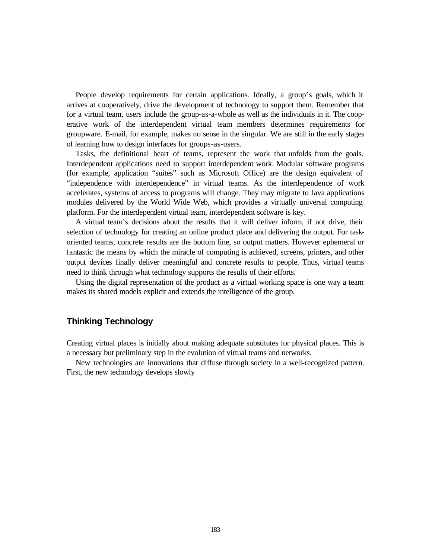People develop requirements for certain applications. Ideally, a group's goals, which it arrives at cooperatively, drive the development of technology to support them. Remember that for a virtual team, users include the group-as-a-whole as well as the individuals in it. The cooperative work of the interdependent virtual team members determines requirements for groupware. E-mail, for example, makes no sense in the singular. We are still in the early stages of learning how to design interfaces for groups-as-users.

Tasks, the definitional heart of teams, represent the work that unfolds from the goals. Interdependent applications need to support interdependent work. Modular software programs (for example, application "suites" such as Microsoft Office) are the design equivalent of "independence with interdependence" in virtual teams. As the interdependence of work accelerates, systems of access to programs will change. They may migrate to Java applications modules delivered by the World Wide Web, which provides a virtually universal computing platform. For the interdependent virtual team, interdependent software is key.

A virtual team's decisions about the results that it will deliver inform, if not drive, their selection of technology for creating an online product place and delivering the output. For taskoriented teams, concrete results are the bottom line, so output matters. However ephemeral or fantastic the means by which the miracle of computing is achieved, screens, printers, and other output devices finally deliver meaningful and concrete results to people. Thus, virtual teams need to think through what technology supports the results of their efforts.

Using the digital representation of the product as a virtual working space is one way a team makes its shared models explicit and extends the intelligence of the group.

## **Thinking Technology**

Creating virtual places is initially about making adequate substitutes for physical places. This is a necessary but preliminary step in the evolution of virtual teams and networks.

New technologies are innovations that diffuse through society in a well-recognized pattern. First, the new technology develops slowly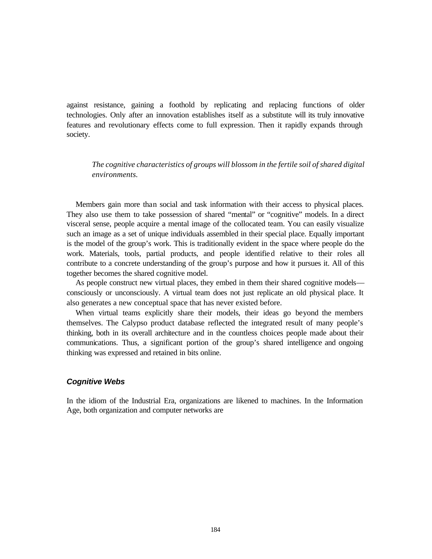against resistance, gaining a foothold by replicating and replacing functions of older technologies. Only after an innovation establishes itself as a substitute will its truly innovative features and revolutionary effects come to full expression. Then it rapidly expands through society.

*The cognitive characteristics of groups will blossom in the fertile soil of shared digital environments.*

Members gain more than social and task information with their access to physical places. They also use them to take possession of shared "mental" or "cognitive" models. In a direct visceral sense, people acquire a mental image of the collocated team. You can easily visualize such an image as a set of unique individuals assembled in their special place. Equally important is the model of the group's work. This is traditionally evident in the space where people do the work. Materials, tools, partial products, and people identified relative to their roles all contribute to a concrete understanding of the group's purpose and how it pursues it. All of this together becomes the shared cognitive model.

As people construct new virtual places, they embed in them their shared cognitive models consciously or unconsciously. A virtual team does not just replicate an old physical place. It also generates a new conceptual space that has never existed before.

When virtual teams explicitly share their models, their ideas go beyond the members themselves. The Calypso product database reflected the integrated result of many people's thinking, both in its overall architecture and in the countless choices people made about their communications. Thus, a significant portion of the group's shared intelligence and ongoing thinking was expressed and retained in bits online.

#### *Cognitive Webs*

In the idiom of the Industrial Era, organizations are likened to machines. In the Information Age, both organization and computer networks are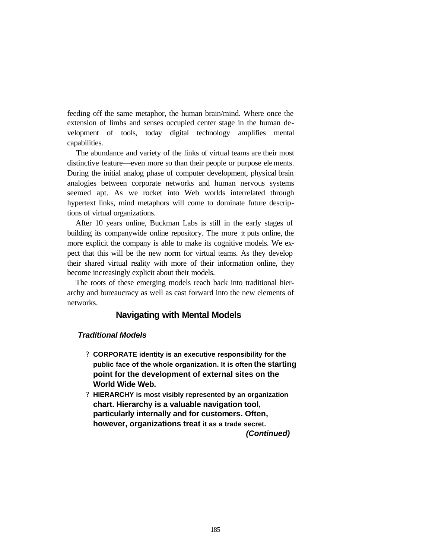feeding off the same metaphor, the human brain/mind. Where once the extension of limbs and senses occupied center stage in the human development of tools, today digital technology amplifies mental capabilities.

The abundance and variety of the links of virtual teams are their most distinctive feature—even more so than their people or purpose elements. During the initial analog phase of computer development, physical brain analogies between corporate networks and human nervous systems seemed apt. As we rocket into Web worlds interrelated through hypertext links, mind metaphors will come to dominate future descriptions of virtual organizations.

After 10 years online, Buckman Labs is still in the early stages of building its companywide online repository. The more it puts online, the more explicit the company is able to make its cognitive models. We expect that this will be the new norm for virtual teams. As they develop their shared virtual reality with more of their information online, they become increasingly explicit about their models.

The roots of these emerging models reach back into traditional hierarchy and bureaucracy as well as cast forward into the new elements of networks.

## **Navigating with Mental Models**

### *Traditional Models*

- **? CORPORATE identity is an executive responsibility for the public face of the whole organization. It is often the starting point for the development of external sites on the World Wide Web.**
- **? HIERARCHY is most visibly represented by an organization chart. Hierarchy is a valuable navigation tool, particularly internally and for customers. Often, however, organizations treat it as a trade secret.**

*(Continued)*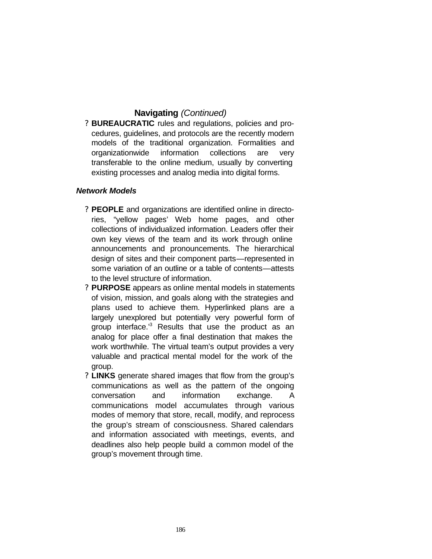# **Navigating** *(Continued)*

**? BUREAUCRATIC** rules and regulations, policies and procedures, guidelines, and protocols are the recently modern models of the traditional organization. Formalities and organizationwide information collections are very transferable to the online medium, usually by converting existing processes and analog media into digital forms.

## *Network Models*

- **? PEOPLE** and organizations are identified online in directories, "yellow pages' Web home pages, and other collections of individualized information. Leaders offer their own key views of the team and its work through online announcements and pronouncements. The hierarchical design of sites and their component parts—represented in some variation of an outline or a table of contents—attests to the level structure of information.
- **? PURPOSE** appears as online mental models in statements of vision, mission, and goals along with the strategies and plans used to achieve them. Hyperlinked plans are a largely unexplored but potentially very powerful form of group interface.<sup>3</sup> Results that use the product as an analog for place offer a final destination that makes the work worthwhile. The virtual team's output provides a very valuable and practical mental model for the work of the group.
- ? **LINKS** generate shared images that flow from the group's communications as well as the pattern of the ongoing conversation and information exchange. A communications model accumulates through various modes of memory that store, recall, modify, and reprocess the group's stream of consciousness. Shared calendars and information associated with meetings, events, and deadlines also help people build a common model of the group's movement through time.